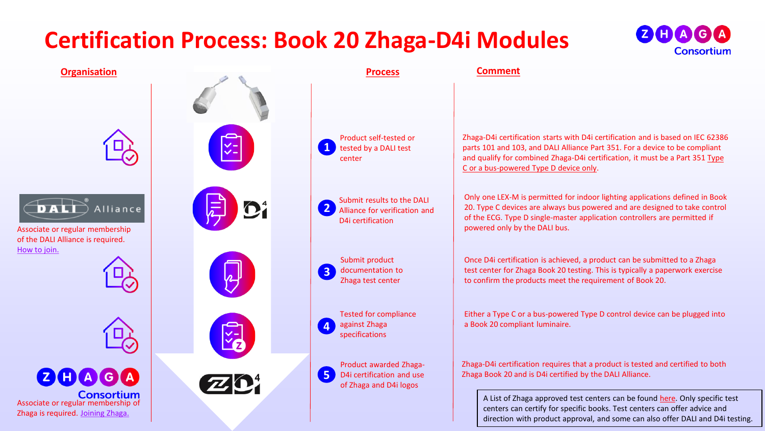## **Certification Process: Book 20 Zhaga-D4i Modules**



| <b>Organisation</b>                                                                          |                  | <b>Process</b>                                                                                           | <b>Comment</b>                                                                                                                                                                                                                                                                           |
|----------------------------------------------------------------------------------------------|------------------|----------------------------------------------------------------------------------------------------------|------------------------------------------------------------------------------------------------------------------------------------------------------------------------------------------------------------------------------------------------------------------------------------------|
|                                                                                              |                  |                                                                                                          |                                                                                                                                                                                                                                                                                          |
|                                                                                              | $\checkmark$     | Product self-tested or<br>tested by a DALI test<br>center                                                | Zhaga-D4i certification starts with D4i certification and is based on IEC 62386<br>parts 101 and 103, and DALI Alliance Part 351. For a device to be compliant<br>and qualify for combined Zhaga-D4i certification, it must be a Part 351 Type<br>C or a bus-powered Type D device only. |
| Alliance<br>Associate or regular membership<br>of the DALI Alliance is required.             | $\mathbf{O}_1^4$ | Submit results to the DALI<br>$\boxed{2}$<br>Alliance for verification and<br>D4i certification          | Only one LEX-M is permitted for indoor lighting applications defined in Book<br>20. Type C devices are always bus powered and are designed to take control<br>of the ECG. Type D single-master application controllers are permitted if<br>powered only by the DALI bus.                 |
| How to join.                                                                                 |                  | Submit product<br>documentation to<br>$\overline{\mathbf{3}}$<br>Zhaga test center                       | Once D4i certification is achieved, a product can be submitted to a Zhaga<br>test center for Zhaga Book 20 testing. This is typically a paperwork exercise<br>to confirm the products meet the requirement of Book 20.                                                                   |
|                                                                                              | $\frac{v}{2}$    | <b>Tested for compliance</b><br>against Zhaga<br>$\overline{4}$<br>specifications                        | Either a Type C or a bus-powered Type D control device can be plugged into<br>a Book 20 compliant luminaire.                                                                                                                                                                             |
| ZIH<br>G                                                                                     |                  | Product awarded Zhaga-<br>$\overline{\mathbf{5}}$<br>D4i certification and use<br>of Zhaga and D4i logos | Zhaga-D4i certification requires that a product is tested and certified to both<br>Zhaga Book 20 and is D4i certified by the DALI Alliance.                                                                                                                                              |
| <b>Consortium</b><br>Associate or regular membership of<br>Zhaga is required. Joining Zhaga. |                  |                                                                                                          | A List of Zhaga approved test centers can be found here. Only specific test<br>centers can certify for specific books. Test centers can offer advice and<br>direction with product approval, and some can also offer DALI and D4i testing.                                               |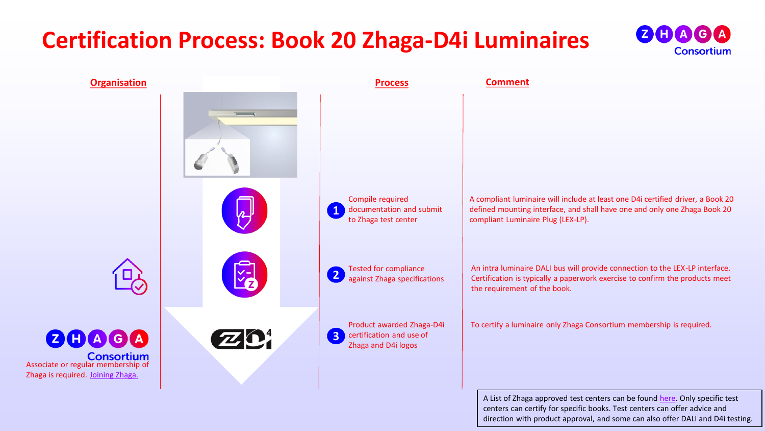## **Certification Process: Book 20 Zhaga-D4i Luminaires**



| <b>Organisation</b>                                                                                   |               | <b>Process</b>                                                                                 | <b>Comment</b>                                                                                                                                                                                     |
|-------------------------------------------------------------------------------------------------------|---------------|------------------------------------------------------------------------------------------------|----------------------------------------------------------------------------------------------------------------------------------------------------------------------------------------------------|
|                                                                                                       | $-$           |                                                                                                |                                                                                                                                                                                                    |
|                                                                                                       |               | Compile required<br>documentation and submit<br>to Zhaga test center                           | A compliant luminaire will include at least one D4i certified driver, a Book 20<br>defined mounting interface, and shall have one and only one Zhaga Book 20<br>compliant Luminaire Plug (LEX-LP). |
|                                                                                                       | $\frac{1}{2}$ | Tested for compliance<br>$\overline{2}$<br>against Zhaga specifications                        | An intra luminaire DALI bus will provide connection to the LEX-LP interface.<br>Certification is typically a paperwork exercise to confirm the products meet<br>the requirement of the book.       |
| 20464<br><b>Consortium</b><br>Associate or regular membership of<br>Zhaga is required. Joining Zhaga. |               | Product awarded Zhaga-D4i<br>certification and use of<br>$\overline{3}$<br>Zhaga and D4i logos | To certify a luminaire only Zhaga Consortium membership is required.                                                                                                                               |
|                                                                                                       |               |                                                                                                | A List of Zhaga approved test centers can be found here. Only specific test                                                                                                                        |

centers can certify for specific books. Test centers can offer advice and direction with product approval, and some can also offer DALI and D4i testing.